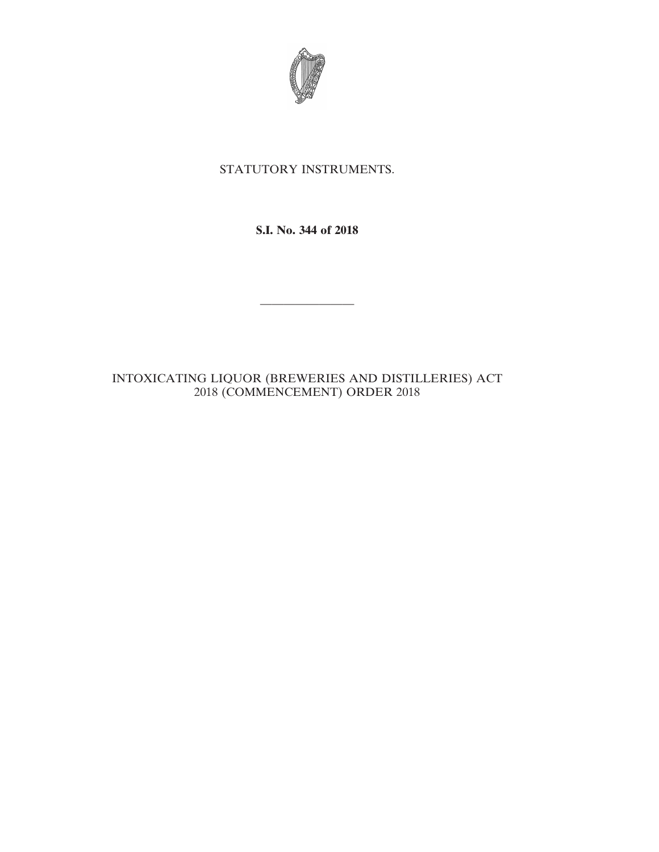

# STATUTORY INSTRUMENTS.

**S.I. No. 344 of 2018**

————————

## INTOXICATING LIQUOR (BREWERIES AND DISTILLERIES) ACT 2018 (COMMENCEMENT) ORDER 2018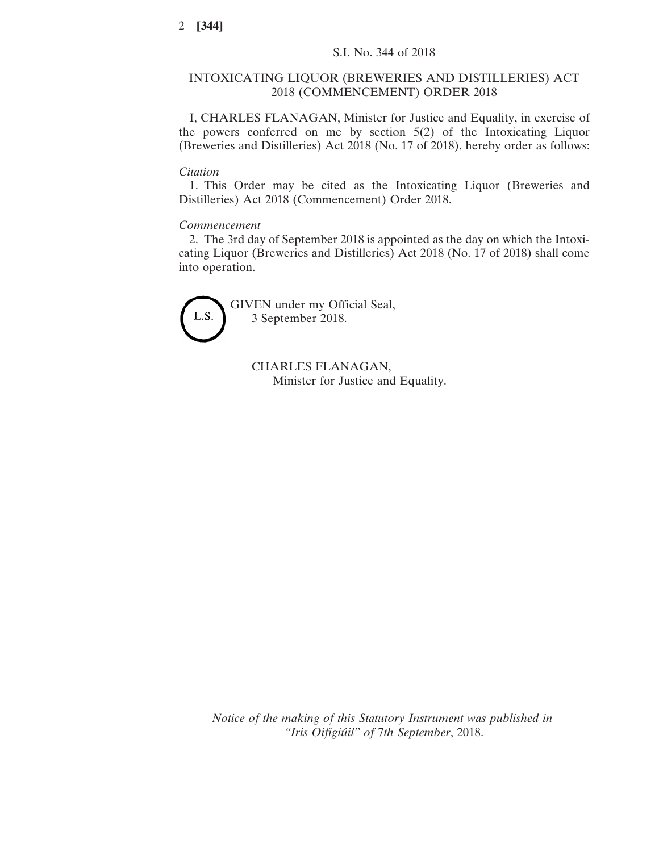### INTOXICATING LIQUOR (BREWERIES AND DISTILLERIES) ACT 2018 (COMMENCEMENT) ORDER 2018

I, CHARLES FLANAGAN, Minister for Justice and Equality, in exercise of the powers conferred on me by section 5(2) of the Intoxicating Liquor (Breweries and Distilleries) Act 2018 (No. 17 of 2018), hereby order as follows:

#### *Citation*

1. This Order may be cited as the Intoxicating Liquor (Breweries and Distilleries) Act 2018 (Commencement) Order 2018.

### *Commencement*

2. The 3rd day of September 2018 is appointed as the day on which the Intoxicating Liquor (Breweries and Distilleries) Act 2018 (No. 17 of 2018) shall come into operation.



GIVEN under my Official Seal, 3 September 2018.

> CHARLES FLANAGAN, Minister for Justice and Equality.

*Notice of the making of this Statutory Instrument was published in "Iris Oifigiúil" of* 7*th September*, 2018.